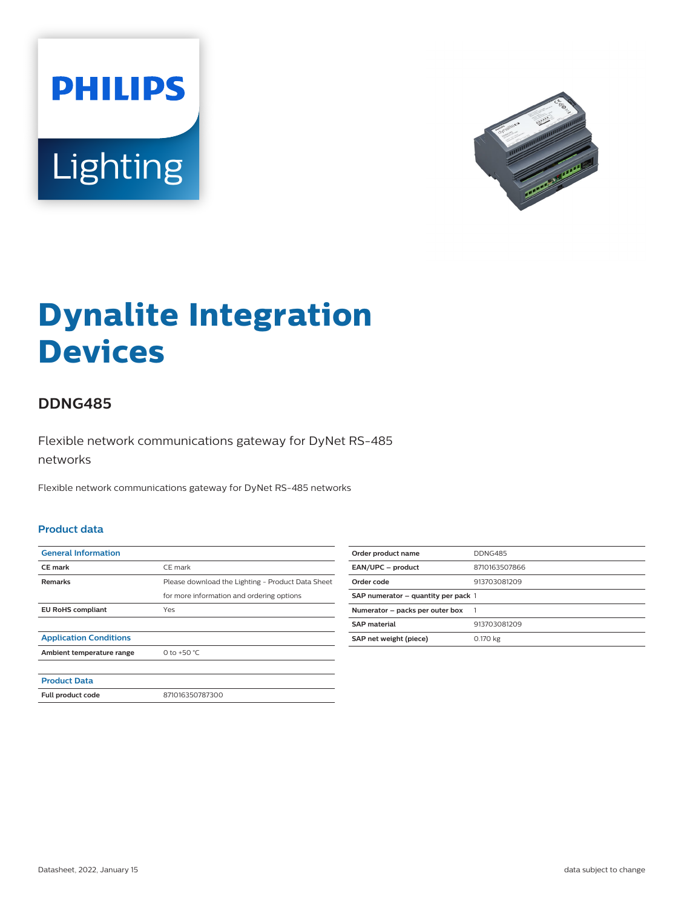



# **Dynalite Integration Devices**

## **DDNG485**

Flexible network communications gateway for DyNet RS-485 networks

Flexible network communications gateway for DyNet RS-485 networks

#### **Product data**

| <b>General Information</b>    |                                                   |
|-------------------------------|---------------------------------------------------|
| <b>CE</b> mark                | CE mark                                           |
| <b>Remarks</b>                | Please download the Lighting - Product Data Sheet |
|                               | for more information and ordering options         |
| <b>EU RoHS compliant</b>      | Yes                                               |
|                               |                                                   |
| <b>Application Conditions</b> |                                                   |
| Ambient temperature range     | 0 to +50 $^{\circ}$ C                             |
|                               |                                                   |
| <b>Product Data</b>           |                                                   |
| Full product code             | 871016350787300                                   |

| Order product name                  | <b>DDNG485</b> |
|-------------------------------------|----------------|
| EAN/UPC - product                   | 8710163507866  |
| Order code                          | 913703081209   |
| SAP numerator - quantity per pack 1 |                |
| Numerator - packs per outer box     |                |
| <b>SAP material</b>                 | 913703081209   |
| SAP net weight (piece)              | 0.170 kg       |